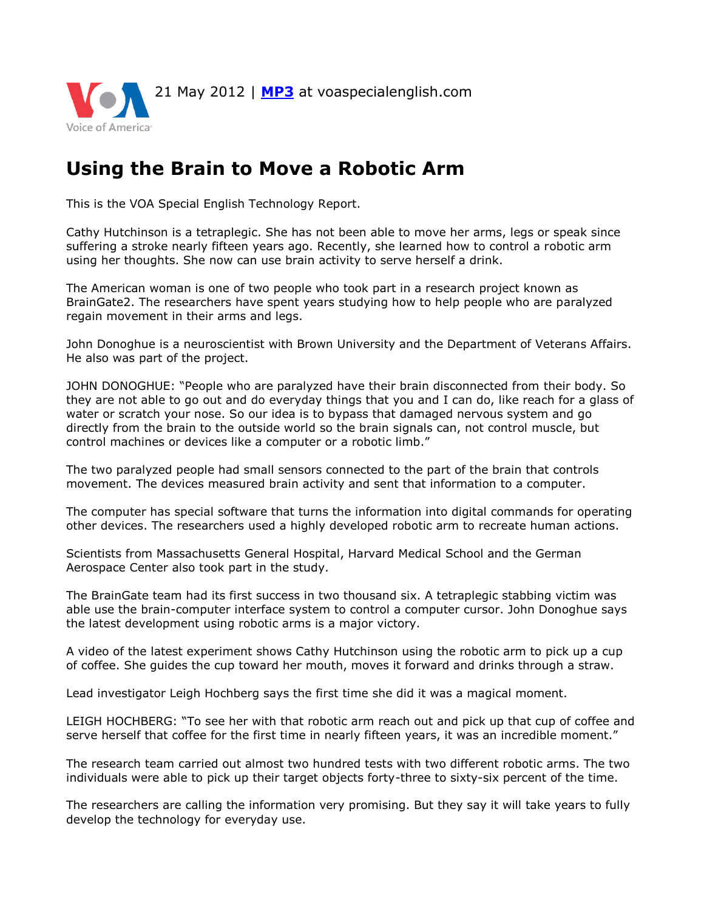

## **Using the Brain to Move a Robotic Arm**

This is the VOA Special English Technology Report.

Cathy Hutchinson is a tetraplegic. She has not been able to move her arms, legs or speak since suffering a stroke nearly fifteen years ago. Recently, she learned how to control a robotic arm using her thoughts. She now can use brain activity to serve herself a drink.

The American woman is one of two people who took part in a research project known as BrainGate2. The researchers have spent years studying how to help people who are paralyzed regain movement in their arms and legs.

John Donoghue is a neuroscientist with Brown University and the Department of Veterans Affairs. He also was part of the project.

JOHN DONOGHUE: "People who are paralyzed have their brain disconnected from their body. So they are not able to go out and do everyday things that you and I can do, like reach for a glass of water or scratch your nose. So our idea is to bypass that damaged nervous system and go directly from the brain to the outside world so the brain signals can, not control muscle, but control machines or devices like a computer or a robotic limb."

The two paralyzed people had small sensors connected to the part of the brain that controls movement. The devices measured brain activity and sent that information to a computer.

The computer has special software that turns the information into digital commands for operating other devices. The researchers used a highly developed robotic arm to recreate human actions.

Scientists from Massachusetts General Hospital, Harvard Medical School and the German Aerospace Center also took part in the study.

The BrainGate team had its first success in two thousand six. A tetraplegic stabbing victim was able use the brain-computer interface system to control a computer cursor. John Donoghue says the latest development using robotic arms is a major victory.

A video of the latest experiment shows Cathy Hutchinson using the robotic arm to pick up a cup of coffee. She guides the cup toward her mouth, moves it forward and drinks through a straw.

Lead investigator Leigh Hochberg says the first time she did it was a magical moment.

LEIGH HOCHBERG: "To see her with that robotic arm reach out and pick up that cup of coffee and serve herself that coffee for the first time in nearly fifteen years, it was an incredible moment."

The research team carried out almost two hundred tests with two different robotic arms. The two individuals were able to pick up their target objects forty-three to sixty-six percent of the time.

The researchers are calling the information very promising. But they say it will take years to fully develop the technology for everyday use.